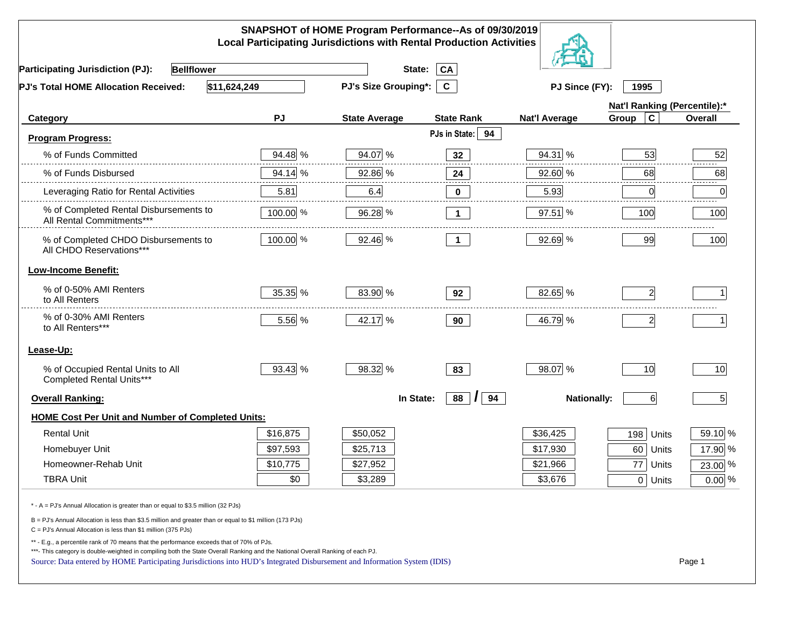| SNAPSHOT of HOME Program Performance--As of 09/30/2019<br><b>Local Participating Jurisdictions with Rental Production Activities</b>                                                                                                                                                                                                                               |          |                      |                                        |                      |                              |          |  |  |
|--------------------------------------------------------------------------------------------------------------------------------------------------------------------------------------------------------------------------------------------------------------------------------------------------------------------------------------------------------------------|----------|----------------------|----------------------------------------|----------------------|------------------------------|----------|--|--|
| <b>Bellflower</b><br><b>Participating Jurisdiction (PJ):</b>                                                                                                                                                                                                                                                                                                       |          | State:               | CA                                     |                      |                              |          |  |  |
| \$11,624,249<br><b>PJ's Total HOME Allocation Received:</b>                                                                                                                                                                                                                                                                                                        |          | PJ's Size Grouping*: | $\mathbf{C}$                           | PJ Since (FY):       | 1995                         |          |  |  |
|                                                                                                                                                                                                                                                                                                                                                                    |          |                      |                                        |                      | Nat'l Ranking (Percentile):* |          |  |  |
| Category                                                                                                                                                                                                                                                                                                                                                           | PJ       | <b>State Average</b> | <b>State Rank</b>                      | <b>Nat'l Average</b> | $\mathbf c$<br>Group         | Overall  |  |  |
| <b>Program Progress:</b>                                                                                                                                                                                                                                                                                                                                           |          |                      | PJs in State: 94                       |                      |                              |          |  |  |
| % of Funds Committed                                                                                                                                                                                                                                                                                                                                               | 94.48 %  | 94.07 %              | 32                                     | 94.31 %              | 53                           | 52       |  |  |
| % of Funds Disbursed                                                                                                                                                                                                                                                                                                                                               | 94.14 %  | 92.86 %              | 24                                     | 92.60 %              | 68                           | 68       |  |  |
| Leveraging Ratio for Rental Activities                                                                                                                                                                                                                                                                                                                             | 5.81     | 6.4                  | 0                                      | 5.93                 | 0                            | .<br>0   |  |  |
| % of Completed Rental Disbursements to<br>All Rental Commitments***                                                                                                                                                                                                                                                                                                | 100.00 % | 96.28 %              | $\mathbf{1}$                           | 97.51 %              | 100                          | 100      |  |  |
| % of Completed CHDO Disbursements to<br>All CHDO Reservations***                                                                                                                                                                                                                                                                                                   | 100.00 % | 92.46 %              | $\overline{1}$                         | 92.69 %              | 99                           | 100      |  |  |
| <b>Low-Income Benefit:</b>                                                                                                                                                                                                                                                                                                                                         |          |                      |                                        |                      |                              |          |  |  |
| % of 0-50% AMI Renters<br>to All Renters                                                                                                                                                                                                                                                                                                                           | 35.35 %  | 83.90 %              | 92                                     | 82.65 %              | $\overline{2}$               |          |  |  |
| % of 0-30% AMI Renters<br>to All Renters***                                                                                                                                                                                                                                                                                                                        | 5.56 %   | 42.17 %              | 90                                     | 46.79 %              | $\overline{2}$               |          |  |  |
| Lease-Up:                                                                                                                                                                                                                                                                                                                                                          |          |                      |                                        |                      |                              |          |  |  |
| % of Occupied Rental Units to All<br>Completed Rental Units***                                                                                                                                                                                                                                                                                                     | 93.43 %  | 98.32 %              | 83                                     | 98.07 %              | 10                           | 10       |  |  |
| <b>Overall Ranking:</b>                                                                                                                                                                                                                                                                                                                                            |          | In State:            | 88<br>94<br>$\boldsymbol{\mathcal{L}}$ | <b>Nationally:</b>   | $6 \mid$                     | 5        |  |  |
| <b>HOME Cost Per Unit and Number of Completed Units:</b>                                                                                                                                                                                                                                                                                                           |          |                      |                                        |                      |                              |          |  |  |
| <b>Rental Unit</b>                                                                                                                                                                                                                                                                                                                                                 | \$16,875 | \$50,052             |                                        | \$36,425             | 198<br>Units                 | 59.10 %  |  |  |
| Homebuyer Unit                                                                                                                                                                                                                                                                                                                                                     | \$97,593 | \$25,713             |                                        | \$17,930             | 60 Units                     | 17.90 %  |  |  |
| Homeowner-Rehab Unit                                                                                                                                                                                                                                                                                                                                               | \$10,775 | \$27,952             |                                        | \$21,966             | 77<br>Units                  | 23.00 %  |  |  |
| <b>TBRA Unit</b>                                                                                                                                                                                                                                                                                                                                                   | \$0      | \$3,289              |                                        | \$3,676              | $0$ Units                    | $0.00\%$ |  |  |
| * - A = PJ's Annual Allocation is greater than or equal to \$3.5 million (32 PJs)                                                                                                                                                                                                                                                                                  |          |                      |                                        |                      |                              |          |  |  |
| B = PJ's Annual Allocation is less than \$3.5 million and greater than or equal to \$1 million (173 PJs)<br>$C = PJ's$ Annual Allocation is less than \$1 million (375 PJs)                                                                                                                                                                                        |          |                      |                                        |                      |                              |          |  |  |
| ** - E.g., a percentile rank of 70 means that the performance exceeds that of 70% of PJs.<br>***- This category is double-weighted in compiling both the State Overall Ranking and the National Overall Ranking of each PJ.<br>Page 1<br>Source: Data entered by HOME Participating Jurisdictions into HUD's Integrated Disbursement and Information System (IDIS) |          |                      |                                        |                      |                              |          |  |  |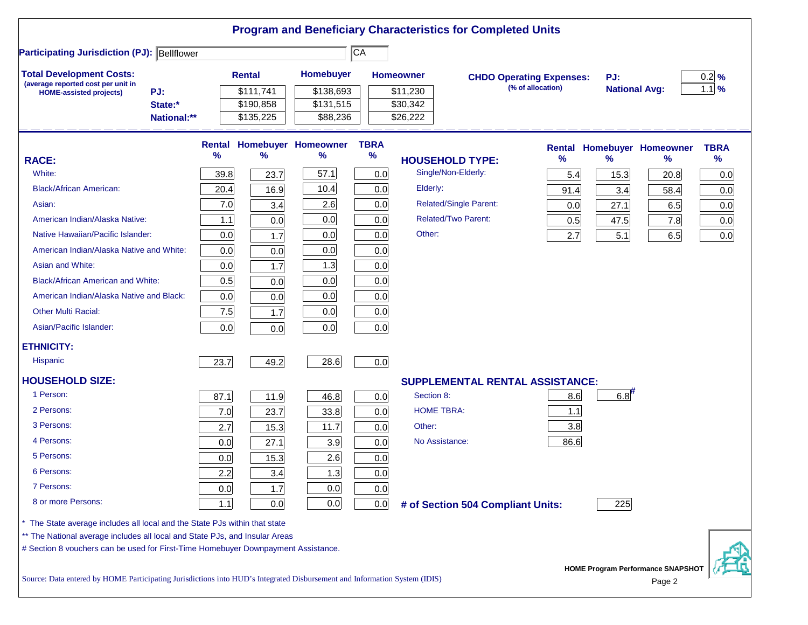|                                                                                                                           |             |        |               |                            |                        |                        | <b>Program and Beneficiary Characteristics for Completed Units</b> |      |                      |                                             |             |
|---------------------------------------------------------------------------------------------------------------------------|-------------|--------|---------------|----------------------------|------------------------|------------------------|--------------------------------------------------------------------|------|----------------------|---------------------------------------------|-------------|
| <b>Participating Jurisdiction (PJ): Bellflower</b>                                                                        |             |        |               |                            | $\overline{\text{CA}}$ |                        |                                                                    |      |                      |                                             |             |
| <b>Total Development Costs:</b>                                                                                           |             |        | <b>Rental</b> | <b>Homebuyer</b>           |                        | <b>Homeowner</b>       | <b>CHDO Operating Expenses:</b>                                    |      | PJ:                  |                                             | $0.2$ %     |
| (average reported cost per unit in<br><b>HOME-assisted projects)</b>                                                      | PJ:         |        | \$111,741     | \$138,693                  |                        | \$11,230               | (% of allocation)                                                  |      | <b>National Avg:</b> |                                             | $1.1$ %     |
|                                                                                                                           | State:*     |        | \$190,858     | \$131,515                  |                        | \$30,342               |                                                                    |      |                      |                                             |             |
|                                                                                                                           | National:** |        | \$135,225     | \$88,236                   |                        | \$26,222               |                                                                    |      |                      |                                             |             |
|                                                                                                                           |             | Rental |               | <b>Homebuyer Homeowner</b> | <b>TBRA</b>            |                        |                                                                    |      |                      | <b>Rental Homebuyer Homeowner</b>           | <b>TBRA</b> |
| <b>RACE:</b>                                                                                                              |             | %      | ℅             | ℅                          | %                      | <b>HOUSEHOLD TYPE:</b> |                                                                    | $\%$ | $\frac{9}{6}$        | %                                           | $\%$        |
| White:                                                                                                                    |             | 39.8   | 23.7          | 57.1                       | 0.0                    | Single/Non-Elderly:    |                                                                    | 5.4  | 15.3                 | 20.8                                        | 0.0         |
| <b>Black/African American:</b>                                                                                            |             | 20.4   | 16.9          | 10.4                       | 0.0                    | Elderly:               |                                                                    | 91.4 | 3.4                  | 58.4                                        | 0.0         |
| Asian:                                                                                                                    |             | 7.0    | 3.4           | 2.6                        | 0.0                    |                        | <b>Related/Single Parent:</b>                                      | 0.0  | 27.1                 | 6.5                                         | 0.0         |
| American Indian/Alaska Native:                                                                                            |             | 1.1    | 0.0           | 0.0                        | 0.0                    |                        | <b>Related/Two Parent:</b>                                         | 0.5  | 47.5                 | 7.8                                         | 0.0         |
| Native Hawaiian/Pacific Islander:                                                                                         |             | 0.0    | 1.7           | 0.0                        | 0.0                    | Other:                 |                                                                    | 2.7  | 5.1                  | 6.5                                         | 0.0         |
| American Indian/Alaska Native and White:                                                                                  |             | 0.0    | 0.0           | 0.0                        | 0.0                    |                        |                                                                    |      |                      |                                             |             |
| Asian and White:                                                                                                          |             | 0.0    | 1.7           | 1.3                        | 0.0                    |                        |                                                                    |      |                      |                                             |             |
| <b>Black/African American and White:</b>                                                                                  |             | 0.5    | 0.0           | 0.0                        | 0.0                    |                        |                                                                    |      |                      |                                             |             |
| American Indian/Alaska Native and Black:                                                                                  |             | 0.0    | 0.0           | 0.0                        | 0.0                    |                        |                                                                    |      |                      |                                             |             |
| <b>Other Multi Racial:</b>                                                                                                |             | 7.5    | 1.7           | 0.0                        | 0.0                    |                        |                                                                    |      |                      |                                             |             |
| Asian/Pacific Islander:                                                                                                   |             | 0.0    | 0.0           | 0.0                        | 0.0                    |                        |                                                                    |      |                      |                                             |             |
| <b>ETHNICITY:</b>                                                                                                         |             |        |               |                            |                        |                        |                                                                    |      |                      |                                             |             |
| <b>Hispanic</b>                                                                                                           |             | 23.7   | 49.2          | 28.6                       | 0.0                    |                        |                                                                    |      |                      |                                             |             |
| <b>HOUSEHOLD SIZE:</b>                                                                                                    |             |        |               |                            |                        |                        | <b>SUPPLEMENTAL RENTAL ASSISTANCE:</b>                             |      |                      |                                             |             |
| 1 Person:                                                                                                                 |             | 87.1   | 11.9          | 46.8                       | 0.0                    | Section 8:             |                                                                    | 8.6  | 6.8                  |                                             |             |
| 2 Persons:                                                                                                                |             | 7.0    | 23.7          | 33.8                       | 0.0                    | <b>HOME TBRA:</b>      |                                                                    | 1.1  |                      |                                             |             |
| 3 Persons:                                                                                                                |             | 2.7    | 15.3          | 11.7                       | 0.0                    | Other:                 |                                                                    | 3.8  |                      |                                             |             |
| 4 Persons:                                                                                                                |             | 0.0    | 27.1          | 3.9                        | 0.0                    | No Assistance:         |                                                                    | 86.6 |                      |                                             |             |
| 5 Persons:                                                                                                                |             | 0.0    | 15.3          | 2.6                        | 0.0                    |                        |                                                                    |      |                      |                                             |             |
| 6 Persons:                                                                                                                |             | 2.2    | 3.4           | 1.3                        | 0.0                    |                        |                                                                    |      |                      |                                             |             |
| 7 Persons:                                                                                                                |             | 0.0    | 1.7           | 0.0                        | 0.0                    |                        |                                                                    |      |                      |                                             |             |
| 8 or more Persons:                                                                                                        |             | $1.1$  | 0.0           | 0.0                        | 0.0                    |                        | # of Section 504 Compliant Units:                                  |      | 225                  |                                             |             |
| The State average includes all local and the State PJs within that state                                                  |             |        |               |                            |                        |                        |                                                                    |      |                      |                                             |             |
| ** The National average includes all local and State PJs, and Insular Areas                                               |             |        |               |                            |                        |                        |                                                                    |      |                      |                                             |             |
| # Section 8 vouchers can be used for First-Time Homebuyer Downpayment Assistance.                                         |             |        |               |                            |                        |                        |                                                                    |      |                      |                                             |             |
| Source: Data entered by HOME Participating Jurisdictions into HUD's Integrated Disbursement and Information System (IDIS) |             |        |               |                            |                        |                        |                                                                    |      |                      | HOME Program Performance SNAPSHOT<br>Page 2 |             |